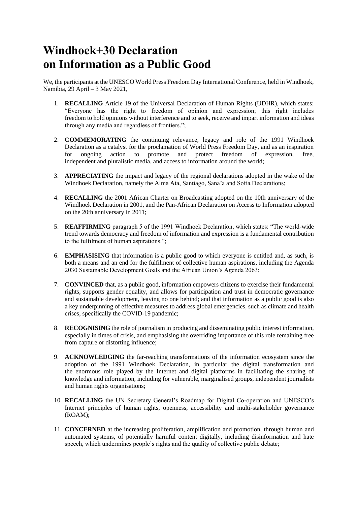## **Windhoek+30 Declaration on Information as a Public Good**

We, the participants at the UNESCO World Press Freedom Day International Conference, held in Windhoek, Namibia, 29 April – 3 May 2021,

- 1. **RECALLING** Article 19 of the Universal Declaration of Human Rights (UDHR), which states: "Everyone has the right to freedom of opinion and expression; this right includes freedom to hold opinions without interference and to seek, receive and impart information and ideas through any media and regardless of frontiers.";
- 2. **COMMEMORATING** the continuing relevance, legacy and role of the 1991 Windhoek Declaration as a catalyst for the proclamation of World Press Freedom Day, and as an inspiration for ongoing action to promote and protect freedom of expression, free, independent and pluralistic media, and access to information around the world;
- 3. **APPRECIATING** the impact and legacy of the regional declarations adopted in the wake of the Windhoek Declaration, namely the Alma Ata, Santiago, Sana'a and Sofia Declarations;
- 4. **RECALLING** the 2001 African Charter on Broadcasting adopted on the 10th anniversary of the Windhoek Declaration in 2001, and the Pan-African Declaration on Access to Information adopted on the 20th anniversary in 2011;
- 5. **REAFFIRMING** paragraph 5 of the 1991 Windhoek Declaration, which states: "The world-wide trend towards democracy and freedom of information and expression is a fundamental contribution to the fulfilment of human aspirations.";
- 6. **EMPHASISING** that information is a public good to which everyone is entitled and, as such, is both a means and an end for the fulfilment of collective human aspirations, including the Agenda 2030 Sustainable Development Goals and the African Union's Agenda 2063;
- 7. **CONVINCED** that, as a public good, information empowers citizens to exercise their fundamental rights, supports gender equality, and allows for participation and trust in democratic governance and sustainable development, leaving no one behind; and that information as a public good is also a key underpinning of effective measures to address global emergencies, such as climate and health crises, specifically the COVID-19 pandemic;
- 8. **RECOGNISING** the role of journalism in producing and disseminating public interest information, especially in times of crisis, and emphasising the overriding importance of this role remaining free from capture or distorting influence;
- 9. **ACKNOWLEDGING** the far-reaching transformations of the information ecosystem since the adoption of the 1991 Windhoek Declaration, in particular the digital transformation and the enormous role played by the Internet and digital platforms in facilitating the sharing of knowledge and information, including for vulnerable, marginalised groups, independent journalists and human rights organisations;
- 10. **RECALLING** the UN Secretary General's Roadmap for Digital Co-operation and UNESCO's Internet principles of human rights, openness, accessibility and multi-stakeholder governance (ROAM);
- 11. **CONCERNED** at the increasing proliferation, amplification and promotion, through human and automated systems, of potentially harmful content digitally, including disinformation and hate speech, which undermines people's rights and the quality of collective public debate;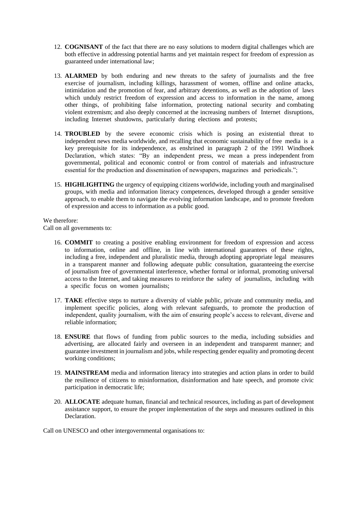- 12. **COGNISANT** of the fact that there are no easy solutions to modern digital challenges which are both effective in addressing potential harms and yet maintain respect for freedom of expression as guaranteed under international law;
- 13. **ALARMED** by both enduring and new threats to the safety of journalists and the free exercise of journalism, including killings, harassment of women, offline and online attacks, intimidation and the promotion of fear, and arbitrary detentions, as well as the adoption of laws which unduly restrict freedom of expression and access to information in the name, among other things, of prohibiting false information, protecting national security and combating violent extremism; and also deeply concerned at the increasing numbers of Internet disruptions, including Internet shutdowns, particularly during elections and protests;
- 14. **TROUBLED** by the severe economic crisis which is posing an existential threat to independent news media worldwide, and recalling that economic sustainability of free media is a key prerequisite for its independence, as enshrined in paragraph 2 of the 1991 Windhoek Declaration, which states: "By an independent press, we mean a press independent from governmental, political and economic control or from control of materials and infrastructure essential for the production and dissemination of newspapers, magazines and periodicals.";
- 15. **HIGHLIGHTING** the urgency of equipping citizens worldwide, including youth and marginalised groups, with media and information literacy competences, developed through a gender sensitive approach, to enable them to navigate the evolving information landscape, and to promote freedom of expression and access to information as a public good.

We therefore: Call on all governments to:

- 16. **COMMIT** to creating a positive enabling environment for freedom of expression and access to information, online and offline, in line with international guarantees of these rights, including a free, independent and pluralistic media, through adopting appropriate legal measures in a transparent manner and following adequate public consultation, guaranteeing the exercise of journalism free of governmental interference, whether formal or informal, promoting universal access to the Internet, and taking measures to reinforce the safety of journalists, including with a specific focus on women journalists;
- 17. **TAKE** effective steps to nurture a diversity of viable public, private and community media, and implement specific policies, along with relevant safeguards, to promote the production of independent, quality journalism, with the aim of ensuring people's access to relevant, diverse and reliable information;
- 18. **ENSURE** that flows of funding from public sources to the media, including subsidies and advertising, are allocated fairly and overseen in an independent and transparent manner; and guarantee investment in journalism and jobs, while respecting gender equality and promoting decent working conditions;
- 19. **MAINSTREAM** media and information literacy into strategies and action plans in order to build the resilience of citizens to misinformation, disinformation and hate speech, and promote civic participation in democratic life;
- 20. **ALLOCATE** adequate human, financial and technical resources, including as part of development assistance support, to ensure the proper implementation of the steps and measures outlined in this Declaration.

Call on UNESCO and other intergovernmental organisations to: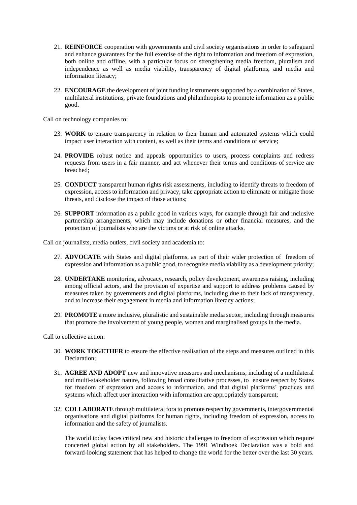- 21. **REINFORCE** cooperation with governments and civil society organisations in order to safeguard and enhance guarantees for the full exercise of the right to information and freedom of expression, both online and offline, with a particular focus on strengthening media freedom, pluralism and independence as well as media viability, transparency of digital platforms, and media and information literacy;
- 22. **ENCOURAGE** the development of joint funding instruments supported by a combination of States, multilateral institutions, private foundations and philanthropists to promote information as a public good.

Call on technology companies to:

- 23. **WORK** to ensure transparency in relation to their human and automated systems which could impact user interaction with content, as well as their terms and conditions of service;
- 24. **PROVIDE** robust notice and appeals opportunities to users, process complaints and redress requests from users in a fair manner, and act whenever their terms and conditions of service are breached;
- 25. **CONDUCT** transparent human rights risk assessments, including to identify threats to freedom of expression, access to information and privacy, take appropriate action to eliminate or mitigate those threats, and disclose the impact of those actions;
- 26. **SUPPORT** information as a public good in various ways, for example through fair and inclusive partnership arrangements, which may include donations or other financial measures, and the protection of journalists who are the victims or at risk of online attacks.

Call on journalists, media outlets, civil society and academia to:

- 27. **ADVOCATE** with States and digital platforms, as part of their wider protection of freedom of expression and information as a public good, to recognise media viability as a development priority;
- 28. **UNDERTAKE** monitoring, advocacy, research, policy development, awareness raising, including among official actors, and the provision of expertise and support to address problems caused by measures taken by governments and digital platforms, including due to their lack of transparency, and to increase their engagement in media and information literacy actions;
- 29. **PROMOTE** a more inclusive, pluralistic and sustainable media sector, including through measures that promote the involvement of young people, women and marginalised groups in the media.

Call to collective action:

- 30. **WORK TOGETHER** to ensure the effective realisation of the steps and measures outlined in this Declaration;
- 31. **AGREE AND ADOPT** new and innovative measures and mechanisms, including of a multilateral and multi-stakeholder nature, following broad consultative processes, to ensure respect by States for freedom of expression and access to information, and that digital platforms' practices and systems which affect user interaction with information are appropriately transparent;
- 32. **COLLABORATE** through multilateral fora to promote respect by governments, intergovernmental organisations and digital platforms for human rights, including freedom of expression, access to information and the safety of journalists.

The world today faces critical new and historic challenges to freedom of expression which require concerted global action by all stakeholders. The 1991 Windhoek Declaration was a bold and forward-looking statement that has helped to change the world for the better over the last 30 years.